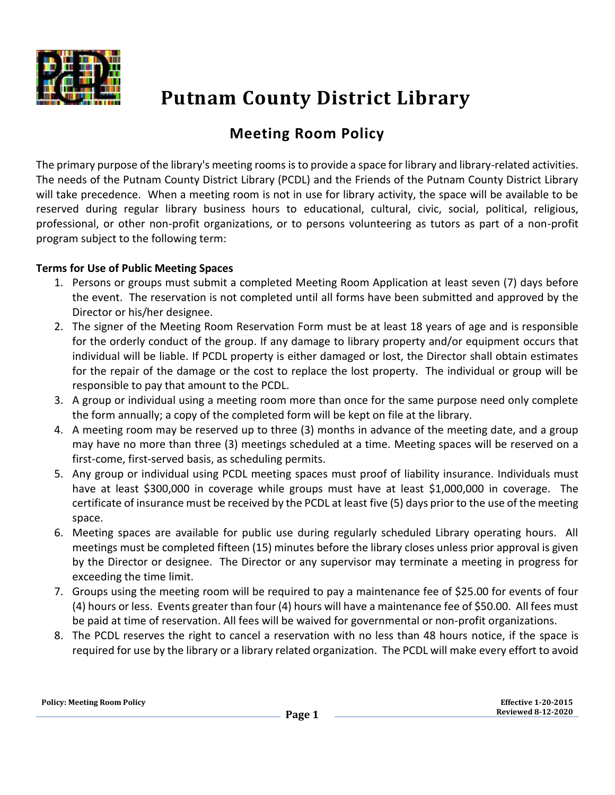

## **Putnam County District Library**

## **Meeting Room Policy**

The primary purpose of the library's meeting rooms is to provide a space for library and library-related activities. The needs of the Putnam County District Library (PCDL) and the Friends of the Putnam County District Library will take precedence. When a meeting room is not in use for library activity, the space will be available to be reserved during regular library business hours to educational, cultural, civic, social, political, religious, professional, or other non-profit organizations, or to persons volunteering as tutors as part of a non-profit program subject to the following term:

## **Terms for Use of Public Meeting Spaces**

- 1. Persons or groups must submit a completed Meeting Room Application at least seven (7) days before the event. The reservation is not completed until all forms have been submitted and approved by the Director or his/her designee.
- 2. The signer of the Meeting Room Reservation Form must be at least 18 years of age and is responsible for the orderly conduct of the group. If any damage to library property and/or equipment occurs that individual will be liable. If PCDL property is either damaged or lost, the Director shall obtain estimates for the repair of the damage or the cost to replace the lost property. The individual or group will be responsible to pay that amount to the PCDL.
- 3. A group or individual using a meeting room more than once for the same purpose need only complete the form annually; a copy of the completed form will be kept on file at the library.
- 4. A meeting room may be reserved up to three (3) months in advance of the meeting date, and a group may have no more than three (3) meetings scheduled at a time. Meeting spaces will be reserved on a first-come, first-served basis, as scheduling permits.
- 5. Any group or individual using PCDL meeting spaces must proof of liability insurance. Individuals must have at least \$300,000 in coverage while groups must have at least \$1,000,000 in coverage. The certificate of insurance must be received by the PCDL at least five (5) days prior to the use of the meeting space.
- 6. Meeting spaces are available for public use during regularly scheduled Library operating hours. All meetings must be completed fifteen (15) minutes before the library closes unless prior approval is given by the Director or designee. The Director or any supervisor may terminate a meeting in progress for exceeding the time limit.
- 7. Groups using the meeting room will be required to pay a maintenance fee of \$25.00 for events of four (4) hours or less. Events greater than four (4) hours will have a maintenance fee of \$50.00. All fees must be paid at time of reservation. All fees will be waived for governmental or non-profit organizations.
- 8. The PCDL reserves the right to cancel a reservation with no less than 48 hours notice, if the space is required for use by the library or a library related organization. The PCDL will make every effort to avoid

| <b>Policy: Meeting Room Policy</b> |  |  |  |
|------------------------------------|--|--|--|
|------------------------------------|--|--|--|